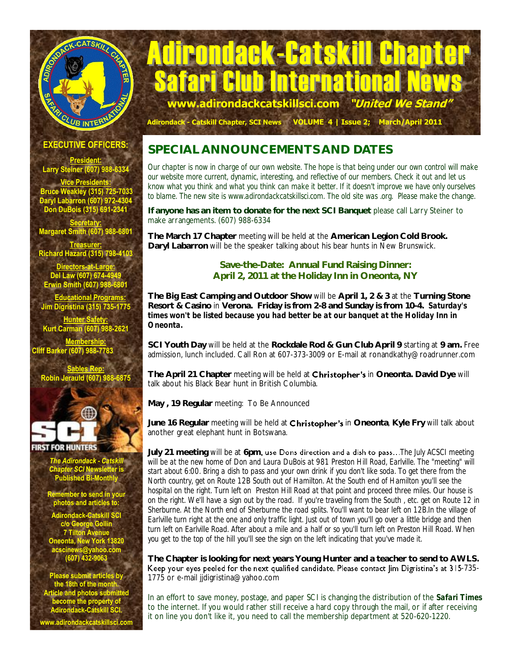# Adirondack-Catskill Chapter **Ib International New**<br>ckcatskillsci.com *"United We Stand* **www.adirondackcatskillsci.com "United We Stand"**

 **Adirondack - Catskill Chapter, SCI News VOLUME 4 | Issue 2; March/April 2011**

**EXECUTIVE OFFICERS:**

CLUB INTERNE

CATSKILL CX

**President: Larry Steiner (607) 988-6334 Vice Presidents: Bruce Weakley (315) 725-7033 Daryl Labarron (607) 972-4304 Don DuBois (315) 691-2341** 

**Secretary: Margaret Smith (607) 988-6801** 

**Treasurer: Richard Hazard (315) 798-4103**

**Directors-at-Large: Del Law (607) 674-4949 Erwin Smith (607) 988-6801**

 **Educational Programs: Jim Digristina (315) 735-1775**

**Hunter Safety: Kurt Carman (607) 988-2621**

**Membership: Cliff Barker (607) 988-7783**

**Sables Rep: Robin Jerauld (607) 988-6875**



**FIRST FOR HUNTERS** 

*The Adirondack - Catskill Chapter SCI* **Newsletter is Published Bi-Monthly** 

**Remember to send in your photos and articles to:**

**Adirondack-Catskill SCI c/o George Gollin 7 Tilton Avenue Oneonta, New York 13820 acscinews@yahoo.com (607) 432-9063**

**Please submit articles by the 18th of the month. Article and photos submitted become the property of Adirondack-Catskill SCI.**

**www.adirondackcatskillsci.com**

## **SPECIAL ANNOUNCEMENTS AND DATES**

*Our chapter is now in charge of our own website. The hope is that being under our own control will make our website more current, dynamic, interesting, and reflective of our members. Check it out and let us know what you think and what you think can make it better. If it doesn't improve we have only ourselves to blame. The new site is www.adirondackcatskillsci.com. The old site was .org. Please make the change.*

**If anyone has an item to donate for the next SCI Banquet** please call Larry Steiner to make arrangements. (607) 988-6334

**The March 17 Chapter** meeting will be held at the **American Legion Cold Brook. Daryl Labarron** will be the speaker talking about his bear hunts in New Brunswick.

#### **Save-the-Date: Annual Fund Raising Dinner: April 2, 2011 at the Holiday Inn in Oneonta, NY**

**The Big East Camping and Outdoor Show** will be **April 1, 2 & 3** at the **Turning Stone Resort & Casino** in **Verona. Friday is from 2-8 and Sunday is from 10-4.** *Saturday's times won't be listed because you had better be at our banquet at the Holiday Inn in Oneonta.*

**SCI Youth Day** will be held at the **Rockdale Rod & Gun Club April 9** starting at **9 am.** Free admission, lunch included. Call Ron at 607-373-3009 or E-mail at ronandkathy@roadrunner.com

The April 21 Chapter meeting will be held at **Christopher's** in Oneonta. David Dye will talk about his Black Bear hunt in British Columbia.

**May , 19 Regular** meeting: To Be Announced

June 16 Regular meeting will be held at **Christopher's** in Oneonta, Kyle Fry will talk about another great elephant hunt in Botswana.

July 21 meeting will be at 6pm, use Dons direction and a dish to pass...The July ACSCI meeting will be at the new home of Don and Laura DuBois at 981 Preston Hill Road, Earlville. The "meeting" will *start about 6:00. Bring a dish to pass and your own drink if you don't like soda. To get there from the North country, get on Route 12B South out of Hamilton. At the South end of Hamilton you'll see the hospital on the right. Turn left on Preston Hill Road at that point and proceed three miles. Our house is on the right. We'll have a sign out by the road. If you're traveling from the South , etc. get on Route 12 in Sherburne. At the North end of Sherburne the road splits. You'll want to bear left on 12B.In the village of Earlville turn right at the one and only traffic light. Just out of town you'll go over a little bridge and then turn left on Earlville Road. After about a mile and a half or so you'll turn left on Preston Hill Road. When you get to the top of the hill you'll see the sign on the left indicating that you've made it.*

**The Chapter is looking for next years Young Hunter and a teacher to send to AWLS.**  Keep your eyes peeled for the next qualified candidate. Please contact Jim Digristina's at 315-735-1775 or e-mail jjdigristina@yahoo.com

In an effort to save money, postage, and paper SCI is changing the distribution of the *Safari Times*  to the internet. If you would rather still receive a hard copy through the mail, or if after receiving it on line you don't like it, you need to call the membership department at 520-620-1220.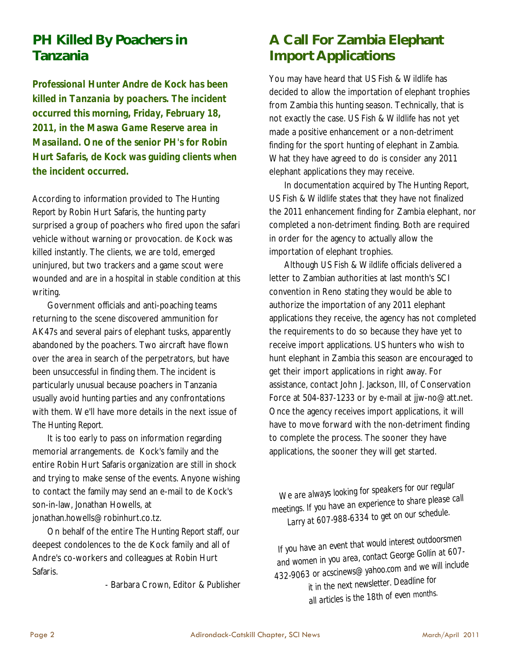# **PH Killed By Poachers in Tanzania**

*Professional Hunter Andre de Kock has been killed in Tanzania by poachers. The incident occurred this morning, Friday, February 18, 2011, in the Maswa Game Reserve area in Masailand. One of the senior PH's for Robin Hurt Safaris, de Kock was guiding clients when the incident occurred.* 

According to information provided to *The Hunting Report* by Robin Hurt Safaris, the hunting party surprised a group of poachers who fired upon the safari vehicle without warning or provocation. de Kock was killed instantly. The clients, we are told, emerged uninjured, but two trackers and a game scout were wounded and are in a hospital in stable condition at this writing.

Government officials and anti-poaching teams returning to the scene discovered ammunition for AK47s and several pairs of elephant tusks, apparently abandoned by the poachers. Two aircraft have flown over the area in search of the perpetrators, but have been unsuccessful in finding them. The incident is particularly unusual because poachers in Tanzania usually avoid hunting parties and any confrontations with them. We'll have more details in the next issue of *The Hunting Report.* 

It is too early to pass on information regarding memorial arrangements. de Kock's family and the entire Robin Hurt Safaris organization are still in shock and trying to make sense of the events. Anyone wishing to contact the family may send an e-mail to de Kock's son-in-law, Jonathan Howells, at jonathan.howells@robinhurt.co.tz.

On behalf of the entire *The Hunting Report* staff, our deepest condolences to the de Kock family and all of Andre's co-workers and colleagues at Robin Hurt Safaris.

- Barbara Crown, Editor & Publisher

# **A Call For Zambia Elephant Import Applications**

You may have heard that US Fish & Wildlife has decided to allow the importation of elephant trophies from Zambia this hunting season. Technically, that is not exactly the case. US Fish & Wildlife has not yet made a positive enhancement or a non-detriment finding for the sport hunting of elephant in Zambia. What they have agreed to do is consider any 2011 elephant applications they may receive.

In documentation acquired by *The Hunting Report*, US Fish & Wildlife states that they have not finalized the 2011 enhancement finding for Zambia elephant, nor completed a non-detriment finding. Both are required in order for the agency to actually allow the importation of elephant trophies.

Although US Fish & Wildlife officials delivered a letter to Zambian authorities at last month's SCI convention in Reno stating they would be able to authorize the importation of any 2011 elephant applications they receive, the agency has not completed the requirements to do so because they have yet to receive import applications. US hunters who wish to hunt elephant in Zambia this season are encouraged to get their import applications in right away. For assistance, contact John J. Jackson, III, of Conservation Force at 504-837-1233 or by e-mail at jjw-no@att.net. Once the agency receives import applications, it will have to move forward with the non-detriment finding to complete the process. The sooner they have applications, the sooner they will get started.

*We are always looking for speakers for our regular meetings. If you have an experience to share please call Larry at 607-988-6334 to get on our schedule.* 

*If you have an event that would interest outdoorsmen and women in you area, contact George Gollin at 607- 432-9063 or acscinews@yahoo.com and we will include it in the next newsletter. Deadline for all articles is the 18th of even months.*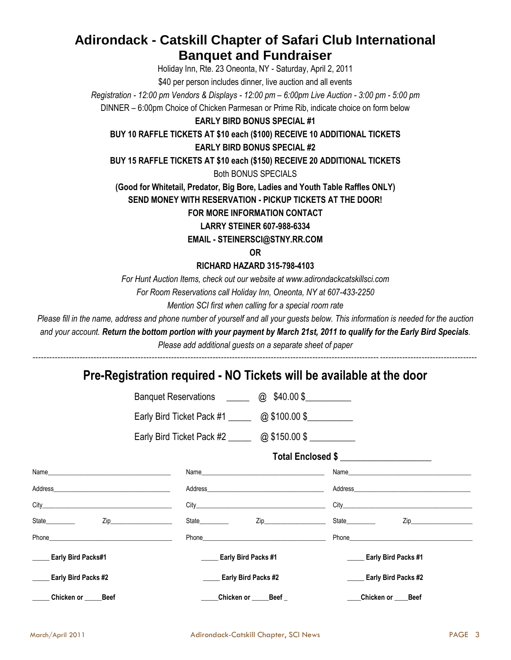## **Adirondack - Catskill Chapter of Safari Club International Banquet and Fundraiser**

Holiday Inn, Rte. 23 Oneonta, NY - Saturday, April 2, 2011

\$40 per person includes dinner, live auction and all events

*Registration - 12:00 pm Vendors & Displays - 12:00 pm – 6:00pm Live Auction - 3:00 pm - 5:00 pm*

DINNER – 6:00pm Choice of Chicken Parmesan or Prime Rib, indicate choice on form below

#### **EARLY BIRD BONUS SPECIAL #1**

**BUY 10 RAFFLE TICKETS AT \$10 each (\$100) RECEIVE 10 ADDITIONAL TICKETS EARLY BIRD BONUS SPECIAL #2**

**BUY 15 RAFFLE TICKETS AT \$10 each (\$150) RECEIVE 20 ADDITIONAL TICKETS**

Both BONUS SPECIALS

**(Good for Whitetail, Predator, Big Bore, Ladies and Youth Table Raffles ONLY)**

**SEND MONEY WITH RESERVATION - PICKUP TICKETS AT THE DOOR!**

#### **FOR MORE INFORMATION CONTACT**

**LARRY STEINER 607-988-6334**

**EMAIL - STEINERSCI@STNY.RR.COM**

**OR**

**RICHARD HAZARD 315-798-4103**

*For Hunt Auction Items, check out our website at www.adirondackcatskillsci.com*

*For Room Reservations call Holiday Inn, Oneonta, NY at 607-433-2250*

*Mention SCI first when calling for a special room rate*

*Please fill in the name, address and phone number of yourself and all your guests below. This information is needed for the auction*

*and your account. Return the bottom portion with your payment by March 21st, 2011 to qualify for the Early Bird Specials.* 

*Please add additional guests on a separate sheet of paper ----------------------------------------------------------------------------------------------------------------------------------------------------------------*

### **Pre-Registration required - NO Tickets will be available at the door**

|                                            | Banquet Reservations ________ @ \$40.00 \$_________                                                                                                                                                                            |                                                                                                                                                                                                                                |                                                                                                                |
|--------------------------------------------|--------------------------------------------------------------------------------------------------------------------------------------------------------------------------------------------------------------------------------|--------------------------------------------------------------------------------------------------------------------------------------------------------------------------------------------------------------------------------|----------------------------------------------------------------------------------------------------------------|
|                                            | Early Bird Ticket Pack #1 ______ @ \$100.00 \$                                                                                                                                                                                 |                                                                                                                                                                                                                                |                                                                                                                |
|                                            | Early Bird Ticket Pack #2 _______ @ \$150.00 \$                                                                                                                                                                                |                                                                                                                                                                                                                                |                                                                                                                |
|                                            |                                                                                                                                                                                                                                | Total Enclosed \$                                                                                                                                                                                                              |                                                                                                                |
|                                            |                                                                                                                                                                                                                                |                                                                                                                                                                                                                                |                                                                                                                |
|                                            | Address and the contract of the contract of the contract of the contract of the contract of the contract of the contract of the contract of the contract of the contract of the contract of the contract of the contract of th | Address and the contract of the contract of the contract of the contract of the contract of the contract of the contract of the contract of the contract of the contract of the contract of the contract of the contract of th |                                                                                                                |
|                                            | City <b>City City City City City City</b>                                                                                                                                                                                      | City <b>Called the Community Contract Community</b> City <b>Community</b>                                                                                                                                                      |                                                                                                                |
| State___________    Zip___________________ | State                                                                                                                                                                                                                          | Zip________________________<br>State <b>State</b>                                                                                                                                                                              | Ziper and the second service of the service of the service of the series of the series of the series of the se |
| Phone <b>Example 2018</b>                  | Phone <b>Example 20</b> Phone <b>Phone</b>                                                                                                                                                                                     | Phone <b><i>Phone</i></b>                                                                                                                                                                                                      |                                                                                                                |
| <b>Early Bird Packs#1</b>                  | <b>Early Bird Packs #1</b>                                                                                                                                                                                                     | <b>Early Bird Packs #1</b>                                                                                                                                                                                                     |                                                                                                                |
| Early Bird Packs #2                        | <b>Early Bird Packs #2</b>                                                                                                                                                                                                     | <b>Early Bird Packs #2</b>                                                                                                                                                                                                     |                                                                                                                |
| Chicken or ____<br><b>Beef</b>             | Chicken or <b>chicken</b>                                                                                                                                                                                                      | $Beef_$<br>_Chicken or ___<br><b>Beef</b>                                                                                                                                                                                      |                                                                                                                |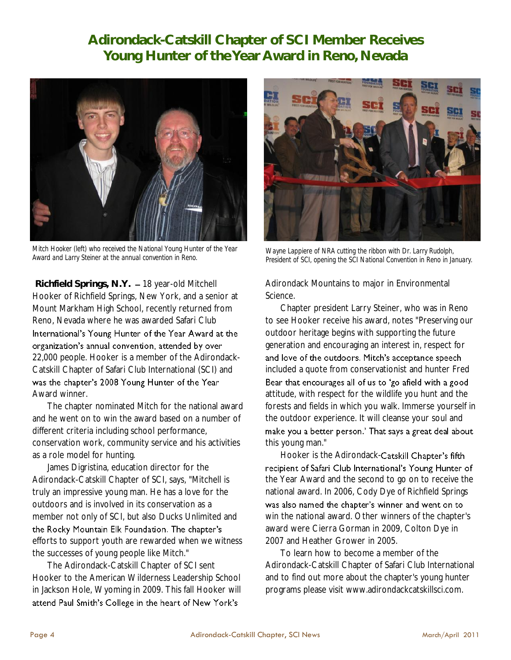# **Adirondack-Catskill Chapter of SCI Member Receives Young Hunter of the Year Award in Reno, Nevada**



*Mitch Hooker (left) who received the National Young Hunter of the Year Award and Larry Steiner at the annual convention in Reno.*

**Richfield Springs, N.Y.** 18 year-old Mitchell Hooker of Richfield Springs, New York, and a senior at Mount Markham High School, recently returned from Reno, Nevada where he was awarded Safari Club International's Young Hunter of the Year Award at the organization's annual convention, attended by over 22,000 people. Hooker is a member of the Adirondack-Catskill Chapter of Safari Club International (SCI) and was the chapter's 2008 Young Hunter of the Year Award winner.

The chapter nominated Mitch for the national award and he went on to win the award based on a number of different criteria including school performance, conservation work, community service and his activities as a role model for hunting.

James Digristina, education director for the Adirondack-Catskill Chapter of SCI, says, "Mitchell is truly an impressive young man. He has a love for the outdoors and is involved in its conservation as a member not only of SCI, but also Ducks Unlimited and the Rocky Mountain Elk Foundation. The chapter's efforts to support youth are rewarded when we witness the successes of young people like Mitch."

The Adirondack-Catskill Chapter of SCI sent Hooker to the American Wilderness Leadership School in Jackson Hole, Wyoming in 2009. This fall Hooker will attend Paul Smith's College in the heart of New York's



*Wayne Lappiere of NRA cutting the ribbon with Dr. Larry Rudolph, President of SCI, opening the SCI National Convention in Reno in January.* 

Adirondack Mountains to major in Environmental Science.

Chapter president Larry Steiner, who was in Reno to see Hooker receive his award, notes "Preserving our outdoor heritage begins with supporting the future generation and encouraging an interest in, respect for and love of the outdoors. Mitch's acceptance speech included a quote from conservationist and hunter Fred Bear that encourages all of us to 'go afield with a good attitude, with respect for the wildlife you hunt and the forests and fields in which you walk. Immerse yourself in the outdoor experience. It will cleanse your soul and make you a better person.' That says a great deal about this young man."

Hooker is the Adirondack-Catskill Chapter's fifth recipient of Safari Club International's Young Hunter of the Year Award and the second to go on to receive the national award. In 2006, Cody Dye of Richfield Springs was also named the chapter's winner and went on to win the national award. Other winners of the chapter's award were Cierra Gorman in 2009, Colton Dye in 2007 and Heather Grower in 2005.

To learn how to become a member of the Adirondack-Catskill Chapter of Safari Club International and to find out more about the chapter's young hunter programs please visit www.adirondackcatskillsci.com.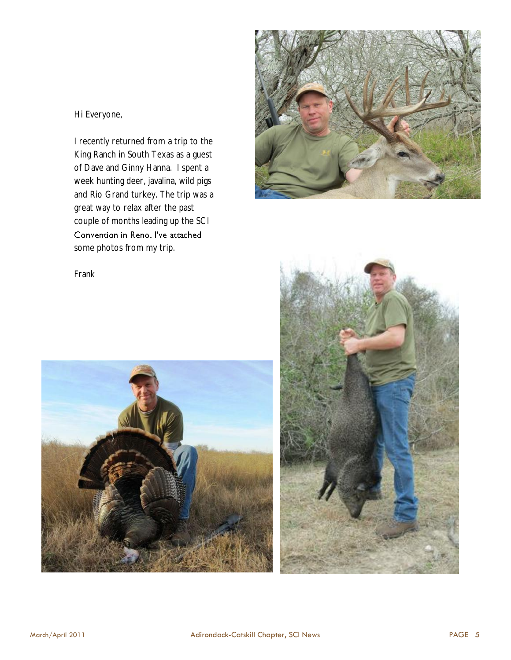Hi Everyone,

I recently returned from a trip to the King Ranch in South Texas as a guest of Dave and Ginny Hanna. I spent a week hunting deer, javalina, wild pigs and Rio Grand turkey. The trip was a great way to relax after the past couple of months leading up the SCI Convention in Reno. I've attached some photos from my trip.



Frank



![](_page_4_Picture_5.jpeg)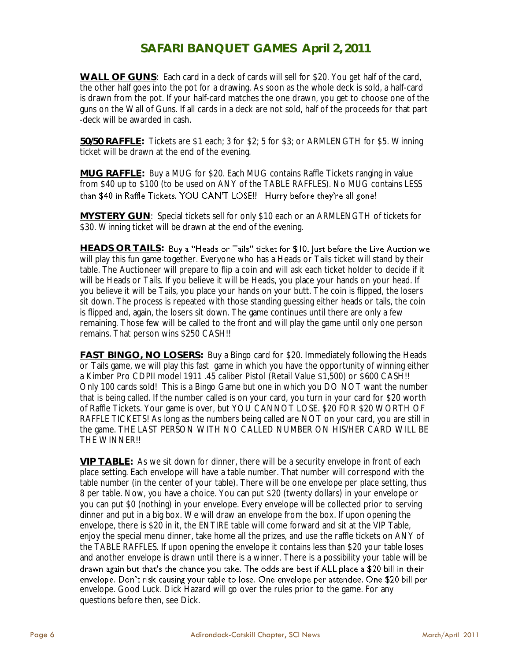### **SAFARI BANQUET GAMES April 2, 2011**

**WALL OF GUNS**: Each card in a deck of cards will sell for \$20. You get half of the card, the other half goes into the pot for a drawing. As soon as the whole deck is sold, a half-card is drawn from the pot. If your half-card matches the one drawn, you get to choose one of the guns on the Wall of Guns. If all cards in a deck are not sold, half of the proceeds for that part -deck will be awarded in cash.

**50/50 RAFFLE:** Tickets are \$1 each; 3 for \$2; 5 for \$3; or ARMLENGTH for \$5. Winning ticket will be drawn at the end of the evening.

**MUG RAFFLE:** Buy a MUG for \$20. Each MUG contains Raffle Tickets ranging in value from \$40 up to \$100 (to be used on ANY of the TABLE RAFFLES). No MUG contains LESS than \$40 in Raffle Tickets. YOU CAN'T LOSE!! Hurry before they're all gone!

**MYSTERY GUN**: Special tickets sell for only \$10 each or an ARMLENGTH of tickets for \$30. Winning ticket will be drawn at the end of the evening.

**HEADS OR TAILS:**  will play this fun game together. Everyone who has a Heads or Tails ticket will stand by their table. The Auctioneer will prepare to flip a coin and will ask each ticket holder to decide if it will be Heads or Tails. If you believe it will be Heads, you place your hands on your head. If you believe it will be Tails, you place your hands on your butt. The coin is flipped, the losers sit down. The process is repeated with those standing guessing either heads or tails, the coin is flipped and, again, the losers sit down. The game continues until there are only a few remaining. Those few will be called to the front and will play the game until only one person remains. That person wins \$250 CASH!!

**FAST BINGO, NO LOSERS:** Buy a Bingo card for \$20. Immediately following the Heads or Tails game, we will play this fast game in which you have the opportunity of winning either a Kimber Pro CDPII model 1911 .45 caliber Pistol (Retail Value \$1,500) or \$600 CASH!! Only 100 cards sold! This is a Bingo Game but one in which you DO NOT want the number that is being called. If the number called is on your card, you turn in your card for \$20 worth of Raffle Tickets. Your game is over, but YOU CANNOT LOSE. \$20 FOR \$20 WORTH OF RAFFLE TICKETS! As long as the numbers being called are NOT on your card, you are still in the game. THE LAST PERSON WITH NO CALLED NUMBER ON HIS/HER CARD WILL BE THE WINNER!!

**VIP TABLE:** As we sit down for dinner, there will be a security envelope in front of each place setting. Each envelope will have a table number. That number will correspond with the table number (in the center of your table). There will be one envelope per place setting, thus 8 per table. Now, you have a choice. You can put \$20 (twenty dollars) in your envelope or you can put \$0 (nothing) in your envelope. Every envelope will be collected prior to serving dinner and put in a big box. We will draw an envelope from the box. If upon opening the envelope, there is \$20 in it, the ENTIRE table will come forward and sit at the VIP Table, enjoy the special menu dinner, take home all the prizes, and use the raffle tickets on ANY of the TABLE RAFFLES. If upon opening the envelope it contains less than \$20 your table loses and another envelope is drawn until there is a winner. There is a possibility your table will be drawn again but that's the chance you take. The odds are best if ALL place a \$20 bill in their envelope. Don't risk causing your table to lose. One envelope per attendee. One \$20 bill per envelope. Good Luck. Dick Hazard will go over the rules prior to the game. For any questions before then, see Dick.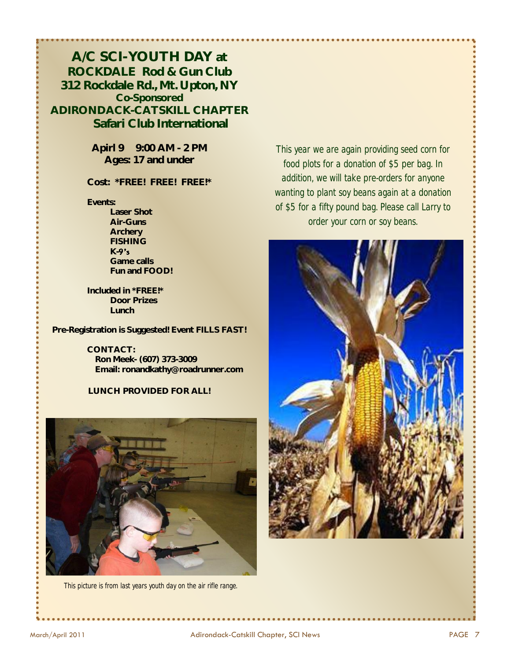**A/C SCI-YOUTH DAY at ROCKDALE Rod & Gun Club 312 Rockdale Rd., Mt. Upton, NY Co-Sponsored ADIRONDACK-CATSKILL CHAPTER Safari Club International**

> **Apirl 9 9:00 AM - 2 PM Ages: 17 and under**

**Cost: \*FREE! FREE! FREE!\***

**Events:**

**Laser Shot Air-Guns Archery FISHING K-Game calls Fun and FOOD!**

**Included in \*FREE!\* Door Prizes Lunch**

**Pre-Registration is Suggested! Event FILLS FAST!**

**CONTACT: Ron Meek- (607) 373-3009 Email: [ronandkathy@roadrunner.com](mailto:ronandkathy@roadrunner.com)**

**LUNCH PROVIDED FOR ALL!**

![](_page_6_Picture_9.jpeg)

*This picture is from last years youth day on the air rifle range.* 

*This year we are again providing seed corn for food plots for a donation of \$5 per bag. In addition, we will take pre-orders for anyone wanting to plant soy beans again at a donation of \$5 for a fifty pound bag. Please call Larry to order your corn or soy beans.*

![](_page_6_Picture_12.jpeg)